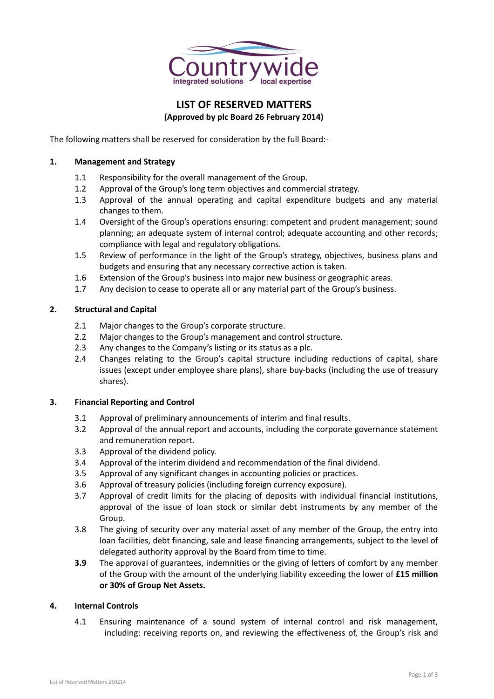

# **LIST OF RESERVED MATTERS (Approved by plc Board 26 February 2014)**

The following matters shall be reserved for consideration by the full Board:-

#### **1. Management and Strategy**

- 1.1 Responsibility for the overall management of the Group.
- 1.2 Approval of the Group's long term objectives and commercial strategy.
- 1.3 Approval of the annual operating and capital expenditure budgets and any material changes to them.
- 1.4 Oversight of the Group's operations ensuring: competent and prudent management; sound planning; an adequate system of internal control; adequate accounting and other records; compliance with legal and regulatory obligations.
- 1.5 Review of performance in the light of the Group's strategy, objectives, business plans and budgets and ensuring that any necessary corrective action is taken.
- 1.6 Extension of the Group's business into major new business or geographic areas.
- 1.7 Any decision to cease to operate all or any material part of the Group's business.

### **2. Structural and Capital**

- 2.1 Major changes to the Group's corporate structure.
- 2.2 Major changes to the Group's management and control structure.
- 2.3 Any changes to the Company's listing or its status as a plc.
- 2.4 Changes relating to the Group's capital structure including reductions of capital, share issues (except under employee share plans), share buy-backs (including the use of treasury shares).

### **3. Financial Reporting and Control**

- 3.1 Approval of preliminary announcements of interim and final results.
- 3.2 Approval of the annual report and accounts, including the corporate governance statement and remuneration report.
- 3.3 Approval of the dividend policy.
- 3.4 Approval of the interim dividend and recommendation of the final dividend.
- 3.5 Approval of any significant changes in accounting policies or practices.
- 3.6 Approval of treasury policies (including foreign currency exposure).
- 3.7 Approval of credit limits for the placing of deposits with individual financial institutions, approval of the issue of loan stock or similar debt instruments by any member of the Group.
- 3.8 The giving of security over any material asset of any member of the Group, the entry into loan facilities, debt financing, sale and lease financing arrangements, subject to the level of delegated authority approval by the Board from time to time.
- **3.9** The approval of guarantees, indemnities or the giving of letters of comfort by any member of the Group with the amount of the underlying liability exceeding the lower of **£15 million or 30% of Group Net Assets.**

#### **4. Internal Controls**

4.1 Ensuring maintenance of a sound system of internal control and risk management, including: receiving reports on, and reviewing the effectiveness of, the Group's risk and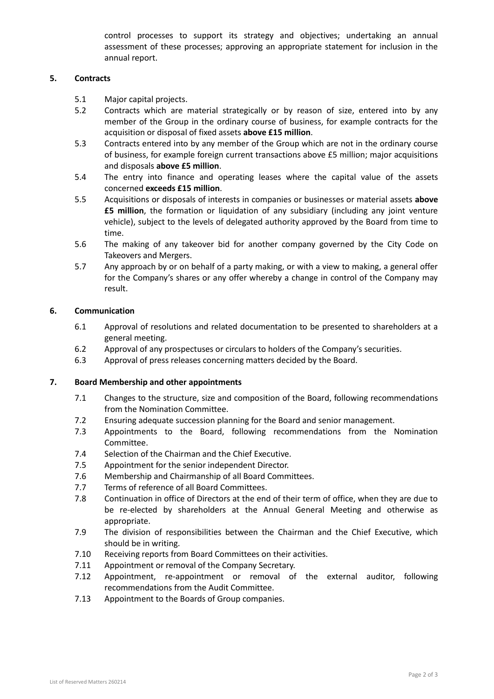control processes to support its strategy and objectives; undertaking an annual assessment of these processes; approving an appropriate statement for inclusion in the annual report.

# **5. Contracts**

- 5.1 Major capital projects.
- 5.2 Contracts which are material strategically or by reason of size, entered into by any member of the Group in the ordinary course of business, for example contracts for the acquisition or disposal of fixed assets **above £15 million**.
- 5.3 Contracts entered into by any member of the Group which are not in the ordinary course of business, for example foreign current transactions above £5 million; major acquisitions and disposals **above £5 million**.
- 5.4 The entry into finance and operating leases where the capital value of the assets concerned **exceeds £15 million**.
- 5.5 Acquisitions or disposals of interests in companies or businesses or material assets **above £5 million**, the formation or liquidation of any subsidiary (including any joint venture vehicle), subject to the levels of delegated authority approved by the Board from time to time.
- 5.6 The making of any takeover bid for another company governed by the City Code on Takeovers and Mergers.
- 5.7 Any approach by or on behalf of a party making, or with a view to making, a general offer for the Company's shares or any offer whereby a change in control of the Company may result.

# **6. Communication**

- 6.1 Approval of resolutions and related documentation to be presented to shareholders at a general meeting.
- 6.2 Approval of any prospectuses or circulars to holders of the Company's securities.
- 6.3 Approval of press releases concerning matters decided by the Board.

# **7. Board Membership and other appointments**

- 7.1 Changes to the structure, size and composition of the Board, following recommendations from the Nomination Committee.
- 7.2 Ensuring adequate succession planning for the Board and senior management.
- 7.3 Appointments to the Board, following recommendations from the Nomination Committee.
- 7.4 Selection of the Chairman and the Chief Executive.
- 7.5 Appointment for the senior independent Director.
- 7.6 Membership and Chairmanship of all Board Committees.
- 7.7 Terms of reference of all Board Committees.
- 7.8 Continuation in office of Directors at the end of their term of office, when they are due to be re-elected by shareholders at the Annual General Meeting and otherwise as appropriate.
- 7.9 The division of responsibilities between the Chairman and the Chief Executive, which should be in writing.
- 7.10 Receiving reports from Board Committees on their activities.
- 7.11 Appointment or removal of the Company Secretary.
- 7.12 Appointment, re-appointment or removal of the external auditor, following recommendations from the Audit Committee.
- 7.13 Appointment to the Boards of Group companies.